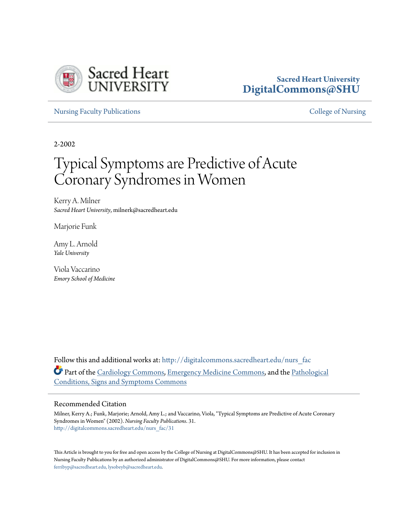

## **Sacred Heart University [DigitalCommons@SHU](http://digitalcommons.sacredheart.edu?utm_source=digitalcommons.sacredheart.edu%2Fnurs_fac%2F31&utm_medium=PDF&utm_campaign=PDFCoverPages)**

[Nursing Faculty Publications](http://digitalcommons.sacredheart.edu/nurs_fac?utm_source=digitalcommons.sacredheart.edu%2Fnurs_fac%2F31&utm_medium=PDF&utm_campaign=PDFCoverPages) **[College of Nursing](http://digitalcommons.sacredheart.edu/nurs?utm_source=digitalcommons.sacredheart.edu%2Fnurs_fac%2F31&utm_medium=PDF&utm_campaign=PDFCoverPages)** 

2-2002

# Typical Symptoms are Predictive of Acute Coronary Syndromes in Women

Kerry A. Milner *Sacred Heart University*, milnerk@sacredheart.edu

Marjorie Funk

Amy L. Arnold *Yale University*

Viola Vaccarino *Emory School of Medicine*

Follow this and additional works at: [http://digitalcommons.sacredheart.edu/nurs\\_fac](http://digitalcommons.sacredheart.edu/nurs_fac?utm_source=digitalcommons.sacredheart.edu%2Fnurs_fac%2F31&utm_medium=PDF&utm_campaign=PDFCoverPages) Part of the [Cardiology Commons](http://network.bepress.com/hgg/discipline/683?utm_source=digitalcommons.sacredheart.edu%2Fnurs_fac%2F31&utm_medium=PDF&utm_campaign=PDFCoverPages), [Emergency Medicine Commons,](http://network.bepress.com/hgg/discipline/685?utm_source=digitalcommons.sacredheart.edu%2Fnurs_fac%2F31&utm_medium=PDF&utm_campaign=PDFCoverPages) and the [Pathological](http://network.bepress.com/hgg/discipline/1004?utm_source=digitalcommons.sacredheart.edu%2Fnurs_fac%2F31&utm_medium=PDF&utm_campaign=PDFCoverPages) [Conditions, Signs and Symptoms Commons](http://network.bepress.com/hgg/discipline/1004?utm_source=digitalcommons.sacredheart.edu%2Fnurs_fac%2F31&utm_medium=PDF&utm_campaign=PDFCoverPages)

#### Recommended Citation

Milner, Kerry A.; Funk, Marjorie; Arnold, Amy L.; and Vaccarino, Viola, "Typical Symptoms are Predictive of Acute Coronary Syndromes in Women" (2002). *Nursing Faculty Publications*. 31. [http://digitalcommons.sacredheart.edu/nurs\\_fac/31](http://digitalcommons.sacredheart.edu/nurs_fac/31?utm_source=digitalcommons.sacredheart.edu%2Fnurs_fac%2F31&utm_medium=PDF&utm_campaign=PDFCoverPages)

This Article is brought to you for free and open access by the College of Nursing at DigitalCommons@SHU. It has been accepted for inclusion in Nursing Faculty Publications by an authorized administrator of DigitalCommons@SHU. For more information, please contact [ferribyp@sacredheart.edu, lysobeyb@sacredheart.edu.](mailto:ferribyp@sacredheart.edu,%20lysobeyb@sacredheart.edu)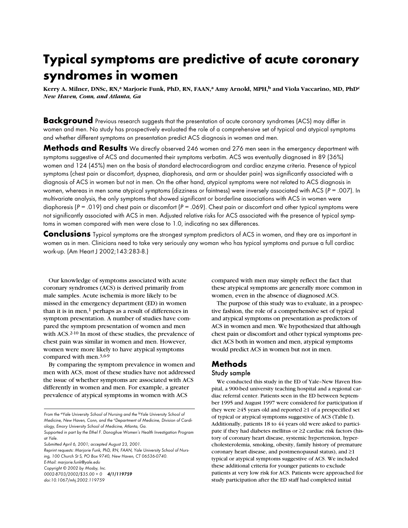## **Typical symptoms are predictive of acute coronary syndromes in women**

**Kerry A. Milner, DNSc, RN,a Marjorie Funk, PhD, RN, FAAN,a Amy Arnold, MPH,b and Viola Vaccarino, MD, PhDc** *New Haven, Conn, and Atlanta, Ga*

**Background** Previous research suggests that the presentation of acute coronary syndromes (ACS) may differ in women and men. No study has prospectively evaluated the role of a comprehensive set of typical and atypical symptoms and whether different symptoms on presentation predict ACS diagnosis in women and men.

**Methods and Results** We directly observed 246 women and 276 men seen in the emergency department with symptoms suggestive of ACS and documented their symptoms verbatim. ACS was eventually diagnosed in 89 (36%) women and 124 (45%) men on the basis of standard electrocardiogram and cardiac enzyme criteria. Presence of typical symptoms (chest pain or discomfort, dyspnea, diaphoresis, and arm or shoulder pain) was significantly associated with a diagnosis of ACS in women but not in men. On the other hand, atypical symptoms were not related to ACS diagnosis in women, whereas in men some atypical symptoms (dizziness or faintness) were inversely associated with ACS (P = .007). In multivariate analysis, the only symptoms that showed significant or borderline associations with ACS in women were diaphoresis ( $P = .019$ ) and chest pain or discomfort ( $P = .069$ ). Chest pain or discomfort and other typical symptoms were not significantly associated with ACS in men. Adjusted relative risks for ACS associated with the presence of typical symptoms in women compared with men were close to 1.0, indicating no sex differences.

**Conclusions** Typical symptoms are the strongest symptom predictors of ACS in women, and they are as important in women as in men. Clinicians need to take very seriously any woman who has typical symptoms and pursue a full cardiac work-up. (Am Heart J 2002;143:283-8.)

Our knowledge of symptoms associated with acute coronary syndromes (ACS) is derived primarily from male samples. Acute ischemia is more likely to be missed in the emergency department (ED) in women than it is in men, $<sup>1</sup>$  perhaps as a result of differences in</sup> symptom presentation. A number of studies have compared the symptom presentation of women and men with ACS.<sup>2-10</sup> In most of these studies, the prevalence of chest pain was similar in women and men. However, women were more likely to have atypical symptoms compared with men.3,6-9

By comparing the symptom prevalence in women and men with ACS, most of these studies have not addressed the issue of whether symptoms are associated with ACS differently in women and men. For example, a greater prevalence of atypical symptoms in women with ACS

From the <sup>a</sup>Yale University School of Nursing and the <sup>b</sup>Yale University School of Medicine, New Haven, Conn, and the <sup>c</sup>Department of Medicine, Division of Cardiology, Emory University School of Medicine, Atlanta, Ga.

Supported in part by the Ethel F. Donoghue Women's Health Investigation Program at Yale.

Submitted April 6, 2001; accepted August 23, 2001.

Reprint requests: Marjorie Funk, PhD, RN, FAAN, Yale University School of Nursing, 100 Church St S, PO Box 9740, New Haven, CT 06536-0740. E-Mail: marjorie.funk@yale.edu Copyright © 2002 by Mosby, Inc. 0002-8703/2002/\$35.00 + 0 4/1/119759 doi:10.1067/mhj.2002.119759

compared with men may simply reflect the fact that these atypical symptoms are generally more common in women, even in the absence of diagnosed ACS.

The purpose of this study was to evaluate, in a prospective fashion, the role of a comprehensive set of typical and atypical symptoms on presentation as predictors of ACS in women and men. We hypothesized that although chest pain or discomfort and other typical symptoms predict ACS both in women and men, atypical symptoms would predict ACS in women but not in men.

## **Methods**

#### Study sample

We conducted this study in the ED of Yale–New Haven Hospital, a 900-bed university teaching hospital and a regional cardiac referral center. Patients seen in the ED between September 1995 and August 1997 were considered for participation if they were ≥45 years old and reported ≥1 of a prespecified set of typical or atypical symptoms suggestive of ACS (Table I). Additionally, patients 18 to 44 years old were asked to participate if they had diabetes mellitus or  $\geq 2$  cardiac risk factors (history of coronary heart disease, systemic hypertension, hypercholesterolemia, smoking, obesity, family history of premature coronary heart disease, and postmenopausal status), and  $\geq 1$ typical or atypical symptoms suggestive of ACS. We included these additional criteria for younger patients to exclude patients at very low risk for ACS. Patients were approached for study participation after the ED staff had completed initial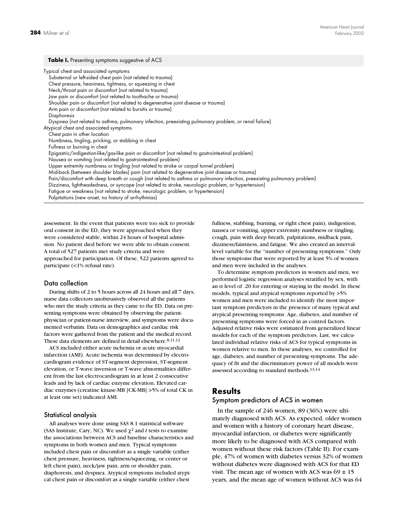#### **Table I.** Presenting symptoms suggestive of ACS

| Typical chest and associated symptoms<br>Substernal or left-sided chest pain (not related to trauma)<br>Chest pressure, heaviness, tightness, or squeezing in chest<br>Neck/throat pain or discomfort (not related to trauma)<br>Jaw pain or discomfort (not related to toothache or trauma)<br>Shoulder pain or discomfort (not related to degenerative joint disease or trauma)<br>Arm pain or discomfort (not related to bursitis or trauma)<br>Diaphoresis<br>Dyspnea (not related to asthma, pulmonary infection, preexisting pulmonary problem, or renal failure)<br>Atypical chest and associated symptoms |
|-------------------------------------------------------------------------------------------------------------------------------------------------------------------------------------------------------------------------------------------------------------------------------------------------------------------------------------------------------------------------------------------------------------------------------------------------------------------------------------------------------------------------------------------------------------------------------------------------------------------|
| Chest pain in other location<br>Numbness, tingling, pricking, or stabbing in chest<br>Fullness or burning in chest<br>Epigastric/indigestion-like/gas-like pain or discomfort (not related to gastrointestinal problem)<br>Nausea or vomiting (not related to gastrointestinal problem)<br>Upper extremity numbness or tingling (not related to stroke or carpal tunnel problem)                                                                                                                                                                                                                                  |
| Mid-back (between shoulder blades) pain (not related to degenerative joint disease or trauma)<br>Pain/discomfort with deep breath or cough (not related to asthma or pulmonary infection, preexisting pulmonary problem)<br>Dizziness, lightheadedness, or syncope (not related to stroke, neurologic problem, or hypertension)<br>Fatigue or weakness (not related to stroke, neurologic problem, or hypertension)<br>Palpitations (new onset, no history of arrhythmias)                                                                                                                                        |

assessment. In the event that patients were too sick to provide oral consent in the ED, they were approached when they were considered stable, within 24 hours of hospital admission. No patient died before we were able to obtain consent. A total of 527 patients met study criteria and were approached for participation. Of these, 522 patients agreed to participate (<1% refusal rate).

#### Data collection

During shifts of 2 to 5 hours across all 24 hours and all 7 days, nurse data collectors unobtrusively observed all the patients who met the study criteria as they came to the ED. Data on presenting symptoms were obtained by observing the patientphysician or patient-nurse interview, and symptoms were documented verbatim. Data on demographics and cardiac risk factors were gathered from the patient and the medical record. These data elements are defined in detail elsewhere.8,11,12

ACS included either acute ischemia or acute myocardial infarction (AMI). Acute ischemia was determined by electrocardiogram evidence of ST-segment depression, ST-segment elevation, or T-wave inversion or T-wave abnormalities different from the last electrocardiogram in at least 2 consecutive leads and by lack of cardiac enzyme elevation. Elevated cardiac enzymes (creatine kinase-MB [CK-MB] >5% of total CK in at least one set) indicated AMI.

#### Statistical analysis

All analyses were done using SAS 8.1 statistical software (SAS Institute, Cary, NC). We used  $\chi^2$  and *t* tests to examine the associations between ACS and baseline characteristics and symptoms in both women and men. Typical symptoms included chest pain or discomfort as a single variable (either chest pressure, heaviness, tightness/squeezing, or center or left chest pain), neck/jaw pain, arm or shoulder pain, diaphoresis, and dyspnea. Atypical symptoms included atypical chest pain or discomfort as a single variable (either chest

fullness, stabbing, burning, or right chest pain), indigestion, nausea or vomiting, upper extremity numbness or tingling, cough, pain with deep breath, palpitations, midback pain, dizziness/faintness, and fatigue. We also created an intervallevel variable for the "number of presenting symptoms." Only those symptoms that were reported by at least 5% of women and men were included in the analyses.

To determine symptom predictors in women and men, we performed logistic regression analyses stratified by sex, with an  $\alpha$  level of .20 for entering or staying in the model. In these models, typical and atypical symptoms reported by >5% women and men were included to identify the most important symptom predictors in the presence of many typical and atypical presenting symptoms. Age, diabetes, and number of presenting symptoms were forced in as control factors. Adjusted relative risks were estimated from generalized linear models for each of the symptom predictors. Last, we calculated individual relative risks of ACS for typical symptoms in women relative to men. In these analyses, we controlled for age, diabetes, and number of presenting symptoms. The adequacy of fit and the discriminatory power of all models were assessed according to standard methods.13,14

#### **Results**

#### Symptom predictors of ACS in women

In the sample of 246 women, 89 (36%) were ultimately diagnosed with ACS. As expected, older women and women with a history of coronary heart disease, myocardial infarction, or diabetes were significantly more likely to be diagnosed with ACS compared with women without these risk factors (Table II). For example, 47% of women with diabetes versus 32% of women without diabetes were diagnosed with ACS for that ED visit. The mean age of women with ACS was  $69 \pm 15$ years, and the mean age of women without ACS was 64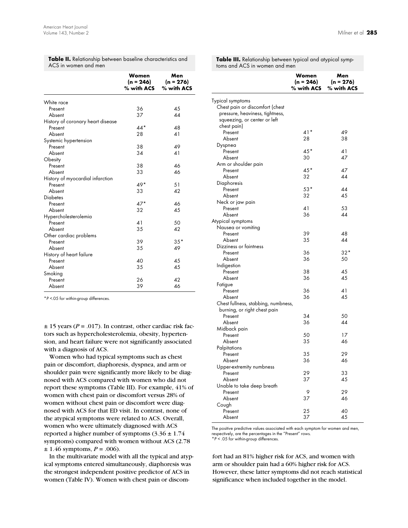| Table II. Relationship between baseline characteristics and |  |
|-------------------------------------------------------------|--|
| ACS in women and men                                        |  |

|                                   | Women<br>(n = 246)<br>$\%$ with ACS $-$ | Men<br>$(n = 276)$<br>% with ACS |
|-----------------------------------|-----------------------------------------|----------------------------------|
| White race                        |                                         |                                  |
| Present                           | 36                                      | 45                               |
| Absent                            | 37                                      | 44                               |
| History of coronary heart disease |                                         |                                  |
| Present                           | $44*$                                   | 48                               |
| Absent                            | 28                                      | 41                               |
| Systemic hypertension             |                                         |                                  |
| Present                           | 38                                      | 49                               |
| Absent                            | 34                                      | 41                               |
| Obesity                           |                                         |                                  |
| Present                           | 38                                      | 46                               |
| Absent                            | 33                                      | 46                               |
| History of myocardial infarction  |                                         |                                  |
| Present                           | $49*$                                   | 51                               |
| Absent                            | 33                                      | 42                               |
| Diabetes                          |                                         |                                  |
| Present                           | $47*$                                   | 46                               |
| Absent                            | 32                                      | 45                               |
| Hypercholesterolemia              |                                         |                                  |
| Present                           | 41                                      | 50                               |
| Absent                            | 35                                      | 42                               |
| Other cardiac problems            |                                         |                                  |
| Present                           | 39                                      | $35*$                            |
| Absent                            | 35                                      | 49                               |
| History of heart failure          |                                         |                                  |
| Present                           | 40                                      | 45                               |
| Absent                            | 35                                      | 45                               |
| Smoking                           |                                         |                                  |
| Present                           | 26                                      | 42                               |
| Absent                            | 39                                      | 46                               |

\*P <.05 for within-group differences.

 $\pm$  15 years ( $P = .017$ ). In contrast, other cardiac risk factors such as hypercholesterolemia, obesity, hypertension, and heart failure were not significantly associated with a diagnosis of ACS.

Women who had typical symptoms such as chest pain or discomfort, diaphoresis, dyspnea, and arm or shoulder pain were significantly more likely to be diagnosed with ACS compared with women who did not report these symptoms (Table III). For example, 41% of women with chest pain or discomfort versus 28% of women without chest pain or discomfort were diagnosed with ACS for that ED visit. In contrast, none of the atypical symptoms were related to ACS. Overall, women who were ultimately diagnosed with ACS reported a higher number of symptoms  $(3.36 \pm 1.74)$ symptoms) compared with women without ACS (2.78  $\pm$  1.46 symptoms, *P* = .006).

In the multivariate model with all the typical and atypical symptoms entered simultaneously, diaphoresis was the strongest independent positive predictor of ACS in women (Table IV). Women with chest pain or discom-

|                                     | Women<br>$(n = 246)$<br>% with ACS | Men<br>$(n = 276)$<br>% with ACS |
|-------------------------------------|------------------------------------|----------------------------------|
| Typical symptoms                    |                                    |                                  |
| Chest pain or discomfort (chest     |                                    |                                  |
| pressure, heaviness, tightness,     |                                    |                                  |
| squeezing, or center or left        |                                    |                                  |
| chest pain)                         |                                    |                                  |
| Present                             | $41*$                              | 49                               |
| Absent                              | 28                                 | 38                               |
| Dyspnea                             |                                    |                                  |
| Present                             | $45*$                              | 41                               |
| Absent                              | 30                                 | 47                               |
| Arm or shoulder pain                |                                    |                                  |
| Present                             | $45*$                              | 47                               |
| Absent                              | 32                                 | 44                               |
| Diaphoresis                         |                                    |                                  |
| Present                             | $53*$                              | 44                               |
| Absent                              | 32                                 | 45                               |
| Neck or jaw pain                    |                                    |                                  |
| Present                             | 41                                 | 53                               |
| Absent                              | 36                                 | 44                               |
| Atypical symptoms                   |                                    |                                  |
| Nausea or vomiting                  |                                    |                                  |
| Present                             | 39                                 | 48                               |
| Absent                              | 35                                 | 44                               |
| Dizziness or faintness              |                                    |                                  |
| Present                             | 36                                 | $32*$                            |
| Absent                              | 36                                 | 50                               |
| Indigestion                         |                                    |                                  |
| Present                             | 38                                 | 45                               |
| Absent                              | 36                                 | 45                               |
| Fatigue                             |                                    |                                  |
| Present                             | 36                                 | 41                               |
| Absent                              | 36                                 | 45                               |
| Chest fullness, stabbing, numbness, |                                    |                                  |
| burning, or right chest pain        |                                    |                                  |
| Present                             | 34                                 | 50                               |
| Absent                              | 36                                 | 44                               |
| Midback pain                        |                                    |                                  |
| Present                             | 50                                 | 17                               |
| Absent                              | 35                                 | 46                               |
| Palpitations                        |                                    |                                  |
| Present                             | 35                                 | 29                               |
| Absent                              | 36                                 | 46                               |
| Upper-extremity numbness            |                                    |                                  |
| Present                             | 29                                 | 33                               |
| Absent                              | 37                                 | 45                               |
| Unable to take deep breath          |                                    |                                  |
| Present                             | 9                                  | 29                               |
| Absent                              | 37                                 | 46                               |
| Couah                               |                                    |                                  |

**Table III.** Relationship between typical and atypical symptoms and ACS in women and men

The positive predictive values associated with each symptom for women and men, respectively, are the percentages in the "Present" rows.

Present 25 40<br>Absent 37 45

\*P < .05 for within-group differences.

Absent

fort had an 81% higher risk for ACS, and women with arm or shoulder pain had a 60% higher risk for ACS. However, these latter symptoms did not reach statistical significance when included together in the model.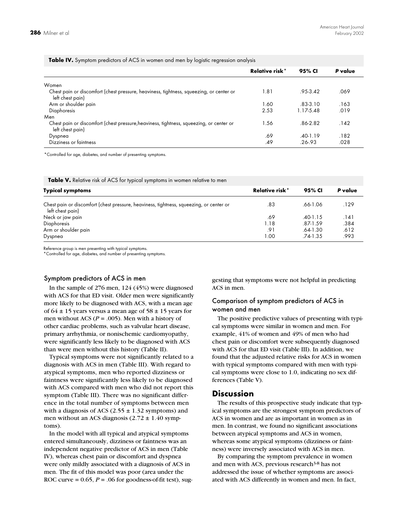**Table IV.** Symptom predictors of ACS in women and men by logistic regression analysis

|                                                                                                             | Relative risk* | 95% CI       | P value |
|-------------------------------------------------------------------------------------------------------------|----------------|--------------|---------|
| Women                                                                                                       |                |              |         |
| Chest pain or discomfort (chest pressure, heaviness, tightness, squeezing, or center or<br>left chest pain) | 1.81           | $.95 - 3.42$ | .069    |
| Arm or shoulder pain                                                                                        | 1.60           | $.83 - 3.10$ | .163    |
| Diaphoresis                                                                                                 | 2.53           | 1.17-5.48    | .019    |
| Men                                                                                                         |                |              |         |
| Chest pain or discomfort (chest pressure, heaviness, tightness, squeezing, or center or<br>left chest pain) | 1.56           | .86-2.82     | .142    |
| Dyspnea                                                                                                     | .69            | $.40 - 1.19$ | .182    |
| Dizziness or faintness                                                                                      | .49            | $.26 - 93$   | .028    |

\*Controlled for age, diabetes, and number of presenting symptoms.

Table V. Relative risk of ACS for typical symptoms in women relative to men

| <b>Typical symptoms</b>                                                                 | Relative risk* | 95% CI       | P value |
|-----------------------------------------------------------------------------------------|----------------|--------------|---------|
| Chest pain or discomfort (chest pressure, heaviness, tightness, squeezing, or center or | .83            | .66-1.06     | .129    |
| left chest pain)<br>Neck or jaw pain                                                    | .69            | $.40 - 1.15$ | .141    |
| Diaphoresis                                                                             | 1.18           | $.87 - 1.59$ | .384    |
| Arm or shoulder pain                                                                    | .91            | $.64 - 1.30$ | .612    |
| Dyspnea                                                                                 | 1.00           | .74-1.35     | .993    |

Reference group is men presenting with typical symptoms.

\*Controlled for age, diabetes, and number of presenting symptoms.

#### Symptom predictors of ACS in men

In the sample of 276 men, 124 (45%) were diagnosed with ACS for that ED visit. Older men were significantly more likely to be diagnosed with ACS, with a mean age of  $64 \pm 15$  years versus a mean age of  $58 \pm 15$  years for men without ACS ( $P = .005$ ). Men with a history of other cardiac problems, such as valvular heart disease, primary arrhythmia, or nonischemic cardiomyopathy, were significantly less likely to be diagnosed with ACS than were men without this history (Table II).

Typical symptoms were not significantly related to a diagnosis with ACS in men (Table III). With regard to atypical symptoms, men who reported dizziness or faintness were significantly less likely to be diagnosed with ACS compared with men who did not report this symptom (Table III). There was no significant difference in the total number of symptoms between men with a diagnosis of ACS (2.55  $\pm$  1.32 symptoms) and men without an ACS diagnosis  $(2.72 \pm 1.40$  symptoms).

In the model with all typical and atypical symptoms entered simultaneously, dizziness or faintness was an independent negative predictor of ACS in men (Table IV), whereas chest pain or discomfort and dyspnea were only mildly associated with a diagnosis of ACS in men. The fit of this model was poor (area under the ROC curve =  $0.65$ ,  $P = .06$  for goodness-of-fit test), suggesting that symptoms were not helpful in predicting ACS in men.

#### Comparison of symptom predictors of ACS in women and men

The positive predictive values of presenting with typical symptoms were similar in women and men. For example, 41% of women and 49% of men who had chest pain or discomfort were subsequently diagnosed with ACS for that ED visit (Table III). In addition, we found that the adjusted relative risks for ACS in women with typical symptoms compared with men with typical symptoms were close to 1.0, indicating no sex differences (Table V).

#### **Discussion**

The results of this prospective study indicate that typical symptoms are the strongest symptom predictors of ACS in women and are as important in women as in men. In contrast, we found no significant associations between atypical symptoms and ACS in women, whereas some atypical symptoms (dizziness or faintness) were inversely associated with ACS in men.

By comparing the symptom prevalence in women and men with ACS, previous research<sup>3-8</sup> has not addressed the issue of whether symptoms are associated with ACS differently in women and men. In fact,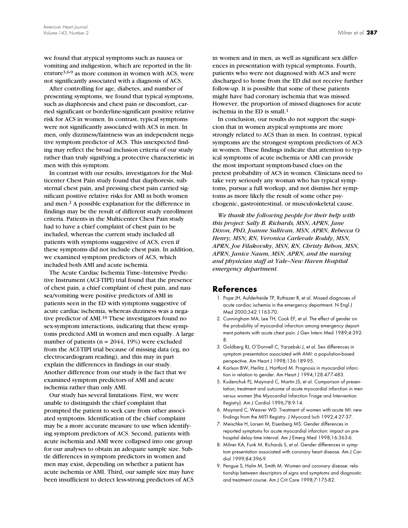we found that atypical symptoms such as nausea or vomiting and indigestion, which are reported in the literature3,6-9 as more common in women with ACS, were not significantly associated with a diagnosis of ACS.

After controlling for age, diabetes, and number of presenting symptoms, we found that typical symptoms, such as diaphoresis and chest pain or discomfort, carried significant or borderline-significant positive relative risk for ACS in women. In contrast, typical symptoms were not significantly associated with ACS in men. In men, only dizziness/faintness was an independent negative symptom predictor of ACS. This unexpected finding may reflect the broad inclusion criteria of our study rather than truly signifying a protective characteristic in men with this symptom.

In contrast with our results, investigators for the Multicenter Chest Pain study found that diaphoresis, substernal chest pain, and pressing chest pain carried significant positive relative risks for AMI in both women and men.2 A possible explanation for the difference in findings may be the result of different study enrollment criteria. Patients in the Multicenter Chest Pain study had to have a chief complaint of chest pain to be included, whereas the current study included all patients with symptoms suggestive of ACS, even if these symptoms did not include chest pain. In addition, we examined symptom predictors of ACS, which included both AMI and acute ischemia.

The Acute Cardiac Ischemia Time–Intensive Predictive Instrument (ACI-TIPI) trial found that the presence of chest pain, a chief complaint of chest pain, and nausea/vomiting were positive predictors of AMI in patients seen in the ED with symptoms suggestive of acute cardiac ischemia, whereas dizziness was a negative predictor of AMI.10 These investigators found no sex-symptom interactions, indicating that these symptoms predicted AMI in women and men equally. A large number of patients ( $n = 2044$ , 19%) were excluded from the ACI-TIPI trial because of missing data (eg, no electrocardiogram reading), and this may in part explain the differences in findings in our study. Another difference from our study is the fact that we examined symptom predictors of AMI and acute ischemia rather than only AMI.

Our study has several limitations. First, we were unable to distinguish the chief complaint that prompted the patient to seek care from other associated symptoms. Identification of the chief complaint may be a more accurate measure to use when identifying symptom predictors of ACS. Second, patients with acute ischemia and AMI were collapsed into one group for our analyses to obtain an adequate sample size. Subtle differences in symptom predictors in women and men may exist, depending on whether a patient has acute ischemia or AMI. Third, our sample size may have been insufficient to detect less-strong predictors of ACS

in women and in men, as well as significant sex differences in presentation with typical symptoms. Fourth, patients who were not diagnosed with ACS and were discharged to home from the ED did not receive further follow-up. It is possible that some of these patients might have had coronary ischemia that was missed. However, the proportion of missed diagnoses for acute ischemia in the ED is small.1

In conclusion, our results do not support the suspicion that in women atypical symptoms are more strongly related to ACS than in men. In contrast, typical symptoms are the strongest symptom predictors of ACS in women. These findings indicate that attention to typical symptoms of acute ischemia or AMI can provide the most important symptom-based clues on the pretest probability of ACS in women. Clinicians need to take very seriously any woman who has typical symptoms, pursue a full workup, and not dismiss her symptoms as more likely the result of some other psychogenic, gastrointestinal, or musculoskeletal cause.

*We thank the following people for their help with this project: Sally B. Richards, MSN, APRN, Jane Dixon, PhD, Joanne Sullivan, MSN, APRN, Rebecca O. Henry, MSN, RN, Veronica Carlevale Roddy, MSN, APRN, Joe Filakovsky, MSN, RN, Christy Bebon, MSN, APRN, Janice Naum, MSN, APRN, and the nursing and physician staff at Yale–New Haven Hospital emergency department.*

#### **References**

- 1. Pope JH, Aufderheide TP, Ruthazer R, et al. Missed diagnoses of acute cardiac ischemia in the emergency department. N Engl J Med 2000;342:1163-70.
- 2. Cunningham MA, Lee TH, Cook EF, et al. The effect of gender on the probability of myocardial infarction among emergency department patients with acute chest pain. J Gen Intern Med 1989;4:392- 8.
- 3. Goldberg RJ, O'Donnell C, Yarzebski J, et al. Sex differences in symptom presentation associated with AMI: a population-based perspective. Am Heart J 1998;136:189-95.
- 4. Karlson BW, Herlitz J, Hartford M. Prognosis in myocardial infarction in relation to gender. Am Heart J 1994;128:477-483.
- 5. Kudenchuk PJ, Maynard C, Martin JS, et al. Comparison of presentation, treatment and outcome of acute myocardial infarction in men versus women (the Myocardial Infarction Triage and Intervention Registry). Am J Cardiol 1996;78:9-14.
- 6. Maynard C, Weaver WD. Treatment of women with acute MI: new findings from the MITI Registry. J Myocard Isch 1992;4:27-37.
- 7. Meischke H, Larsen M, Eisenberg MS. Gender differences in reported symptoms for acute myocardial infarction: impact on prehospital delay time interval. Am J Emerg Med 1998;16:363-6.
- 8. Milner KA, Funk M, Richards S, et al. Gender differences in symptom presentation associated with coronary heart disease. Am J Cardiol 1999;84:396-9.
- 9. Pengue S, Halm M, Smith M. Women and coronary disease: relationship between descriptors of signs and symptoms and diagnostic and treatment course. Am J Crit Care 1998;7:175-82.